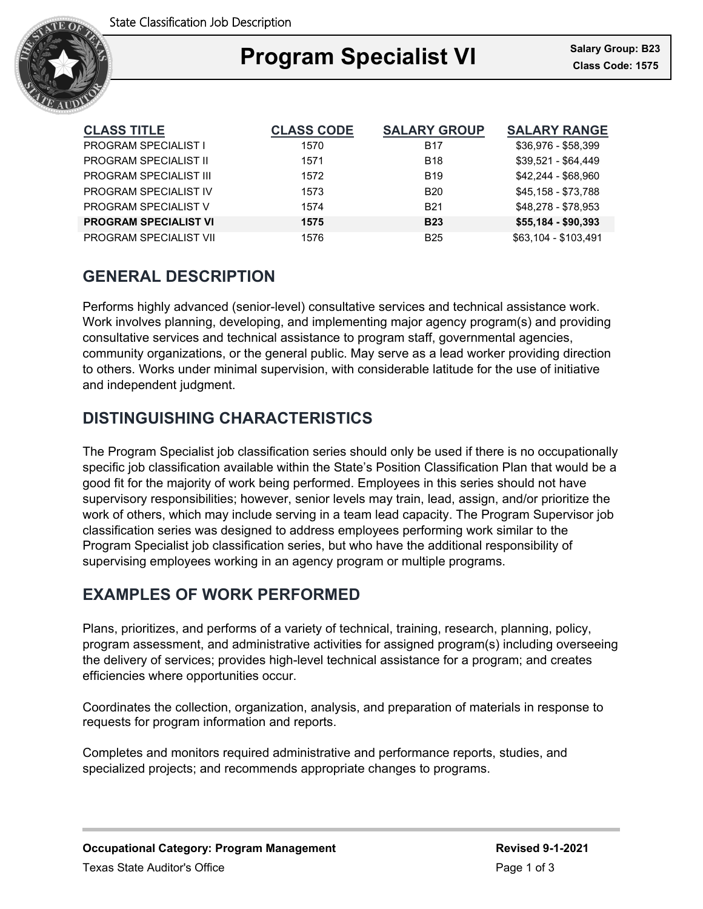

## Ξ **Program Specialist VI Class Code: 1575**

| <b>CLASS TITLE</b>            | <b>CLASS CODE</b> | <b>SALARY GROUP</b> | <b>SALARY RANGE</b>  |
|-------------------------------|-------------------|---------------------|----------------------|
| <b>PROGRAM SPECIALIST I</b>   | 1570              | <b>B17</b>          | \$36,976 - \$58,399  |
| <b>PROGRAM SPECIALIST II</b>  | 1571              | <b>B18</b>          | \$39,521 - \$64,449  |
| <b>PROGRAM SPECIALIST III</b> | 1572              | <b>B19</b>          | \$42,244 - \$68,960  |
| PROGRAM SPECIALIST IV         | 1573              | B <sub>20</sub>     | \$45,158 - \$73,788  |
| <b>PROGRAM SPECIALIST V</b>   | 1574              | <b>B21</b>          | \$48,278 - \$78,953  |
| <b>PROGRAM SPECIALIST VI</b>  | 1575              | <b>B23</b>          | $$55,184 - $90,393$  |
| PROGRAM SPECIALIST VII        | 1576              | <b>B25</b>          | \$63.104 - \$103.491 |

## **GENERAL DESCRIPTION**

Performs highly advanced (senior-level) consultative services and technical assistance work. Work involves planning, developing, and implementing major agency program(s) and providing consultative services and technical assistance to program staff, governmental agencies, community organizations, or the general public. May serve as a lead worker providing direction to others. Works under minimal supervision, with considerable latitude for the use of initiative and independent judgment.

# **DISTINGUISHING CHARACTERISTICS**

The Program Specialist job classification series should only be used if there is no occupationally specific job classification available within the State's Position Classification Plan that would be a good fit for the majority of work being performed. Employees in this series should not have supervisory responsibilities; however, senior levels may train, lead, assign, and/or prioritize the work of others, which may include serving in a team lead capacity. The Program Supervisor job classification series was designed to address employees performing work similar to the Program Specialist job classification series, but who have the additional responsibility of supervising employees working in an agency program or multiple programs.

## **EXAMPLES OF WORK PERFORMED**

Plans, prioritizes, and performs of a variety of technical, training, research, planning, policy, program assessment, and administrative activities for assigned program(s) including overseeing the delivery of services; provides high-level technical assistance for a program; and creates efficiencies where opportunities occur.

Coordinates the collection, organization, analysis, and preparation of materials in response to requests for program information and reports.

Completes and monitors required administrative and performance reports, studies, and specialized projects; and recommends appropriate changes to programs.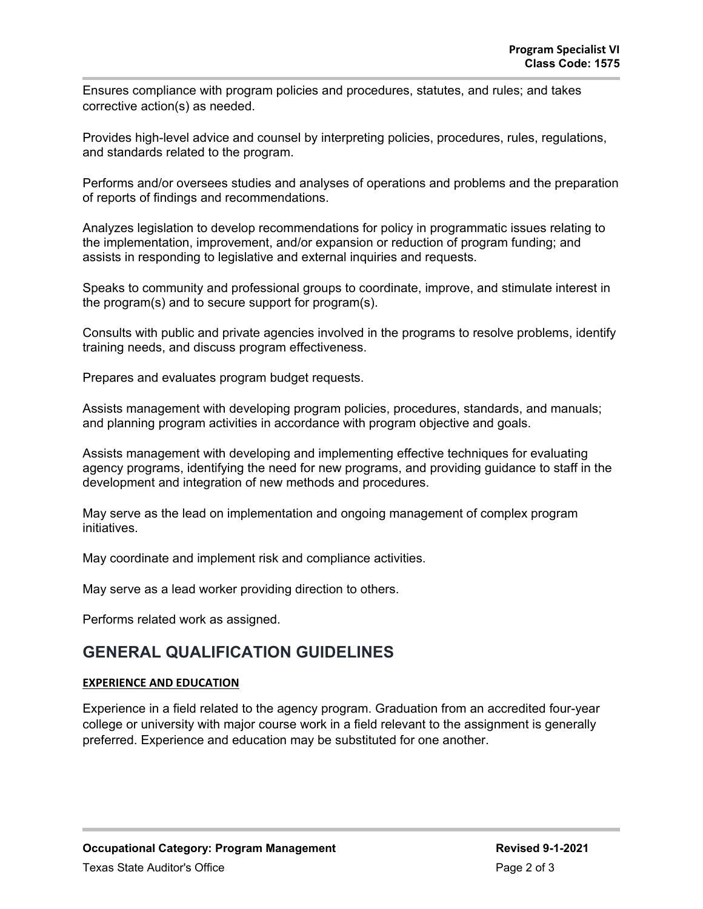Ensures compliance with program policies and procedures, statutes, and rules; and takes corrective action(s) as needed.

Provides high-level advice and counsel by interpreting policies, procedures, rules, regulations, and standards related to the program.

Performs and/or oversees studies and analyses of operations and problems and the preparation of reports of findings and recommendations.

Analyzes legislation to develop recommendations for policy in programmatic issues relating to the implementation, improvement, and/or expansion or reduction of program funding; and assists in responding to legislative and external inquiries and requests.

Speaks to community and professional groups to coordinate, improve, and stimulate interest in the program(s) and to secure support for program(s).

Consults with public and private agencies involved in the programs to resolve problems, identify training needs, and discuss program effectiveness.

Prepares and evaluates program budget requests.

Assists management with developing program policies, procedures, standards, and manuals; and planning program activities in accordance with program objective and goals.

Assists management with developing and implementing effective techniques for evaluating agency programs, identifying the need for new programs, and providing guidance to staff in the development and integration of new methods and procedures.

May serve as the lead on implementation and ongoing management of complex program initiatives.

May coordinate and implement risk and compliance activities.

May serve as a lead worker providing direction to others.

Performs related work as assigned.

## **GENERAL QUALIFICATION GUIDELINES**

### **EXPERIENCE AND EDUCATION**

Experience in a field related to the agency program. Graduation from an accredited four-year college or university with major course work in a field relevant to the assignment is generally preferred. Experience and education may be substituted for one another.